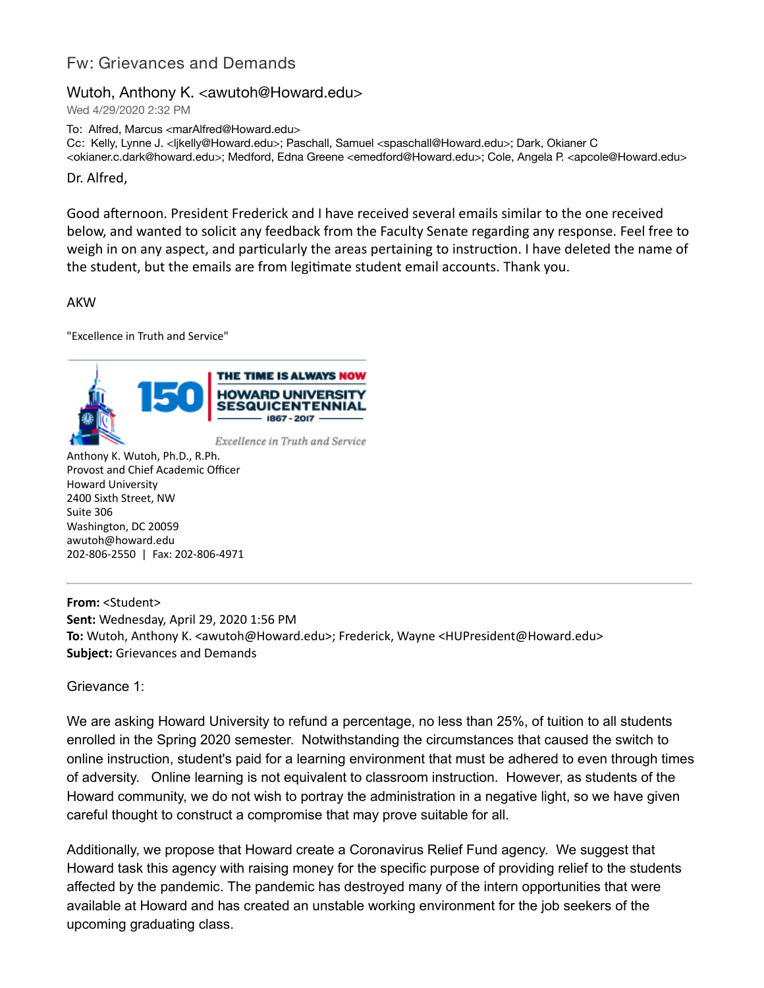## Fw: Grievances and Demands

## Wutoh, Anthony K. < awutoh@Howard.edu>

Wed 4/29/2020 2:32 PM

To: Alfred, Marcus <marAlfred@Howard.edu>

Cc: Kelly, Lynne J. <ljkelly@Howard.edu>; Paschall, Samuel <spaschall@Howard.edu>; Dark, Okianer C

<okianer.c.dark@howard.edu>; Medford, Edna Greene <emedford@Howard.edu>; Cole, Angela P. <apcole@Howard.edu>

Dr. Alfred,

Good afternoon. President Frederick and I have received several emails similar to the one received below, and wanted to solicit any feedback from the Faculty Senate regarding any response. Feel free to weigh in on any aspect, and particularly the areas pertaining to instruction. I have deleted the name of the student, but the emails are from legitimate student email accounts. Thank you.

AKW

"Excellence in Truth and Service"



Anthony K. Wutoh, Ph.D., R.Ph. Provost and Chief Academic Officer Howard University 2400 Sixth Street, NW Suite 306 Washington, DC 20059

awutoh@howard.edu 202-806-2550 | Fax: 202-806-4971

**From:** <Student> **Sent:** Wednesday, April 29, 2020 1:56 PM **To:** Wutoh, Anthony K. <awutoh@Howard.edu>; Frederick, Wayne <HUPresident@Howard.edu> **Subject:** Grievances and Demands

Grievance 1:

We are asking Howard University to refund a percentage, no less than 25%, of tuition to all students enrolled in the Spring 2020 semester. Notwithstanding the circumstances that caused the switch to online instruction, student's paid for a learning environment that must be adhered to even through times of adversity. Online learning is not equivalent to classroom instruction. However, as students of the Howard community, we do not wish to portray the administration in a negative light, so we have given careful thought to construct a compromise that may prove suitable for all.

Additionally, we propose that Howard create a Coronavirus Relief Fund agency. We suggest that Howard task this agency with raising money for the specific purpose of providing relief to the students affected by the pandemic. The pandemic has destroyed many of the intern opportunities that were available at Howard and has created an unstable working environment for the job seekers of the upcoming graduating class.